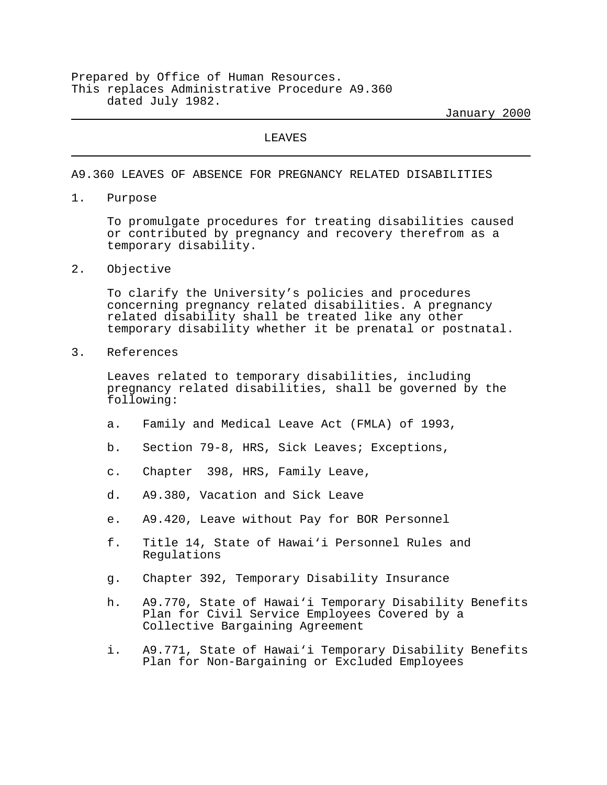Prepared by Office of Human Resources. This replaces Administrative Procedure A9.360 dated July 1982.

January 2000

LEAVES

A9.360 LEAVES OF ABSENCE FOR PREGNANCY RELATED DISABILITIES

1. Purpose

To promulgate procedures for treating disabilities caused or contributed by pregnancy and recovery therefrom as a temporary disability.

2. Objective

To clarify the University's policies and procedures concerning pregnancy related disabilities. A pregnancy related disability shall be treated like any other temporary disability whether it be prenatal or postnatal.

3. References

Leaves related to temporary disabilities, including pregnancy related disabilities, shall be governed by the following:

- a. Family and Medical Leave Act (FMLA) of 1993,
- b. Section 79-8, HRS, Sick Leaves; Exceptions,
- c. Chapter 398, HRS, Family Leave,
- d. A9.380, Vacation and Sick Leave
- e. A9.420, Leave without Pay for BOR Personnel
- f. Title 14, State of Hawai'i Personnel Rules and Regulations
- g. Chapter 392, Temporary Disability Insurance
- h. A9.770, State of Hawai'i Temporary Disability Benefits Plan for Civil Service Employees Covered by a Collective Bargaining Agreement
- i. A9.771, State of Hawai'i Temporary Disability Benefits Plan for Non-Bargaining or Excluded Employees